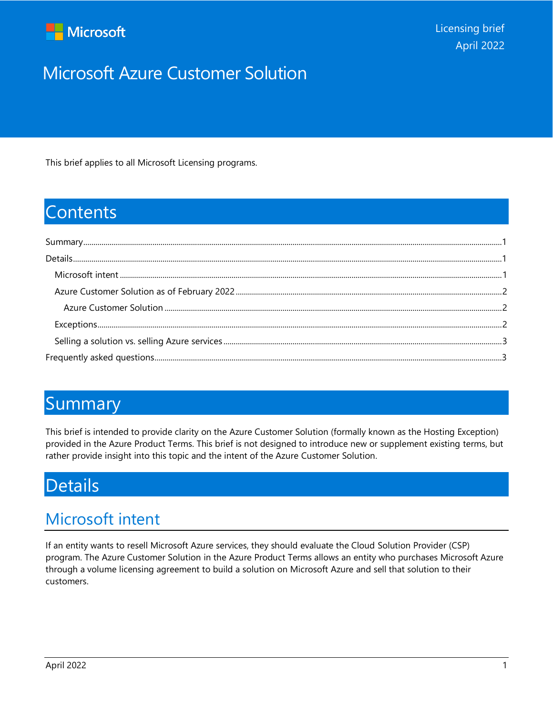

# Microsoft Azure Customer Solution

This brief applies to all Microsoft Licensing programs.

## **Contents**

### <span id="page-0-0"></span>Summary

This brief is intended to provide clarity on the Azure Customer Solution (formally known as the Hosting Exception) provided in the Azure Product Terms. This brief is not designed to introduce new or supplement existing terms, but rather provide insight into this topic and the intent of the Azure Customer Solution.

## <span id="page-0-1"></span>Details

## <span id="page-0-2"></span>Microsoft intent

If an entity wants to resell Microsoft Azure services, they should evaluate the Cloud Solution Provider (CSP) program. The Azure Customer Solution in the Azure Product Terms allows an entity who purchases Microsoft Azure through a volume licensing agreement to build a solution on Microsoft Azure and sell that solution to their customers.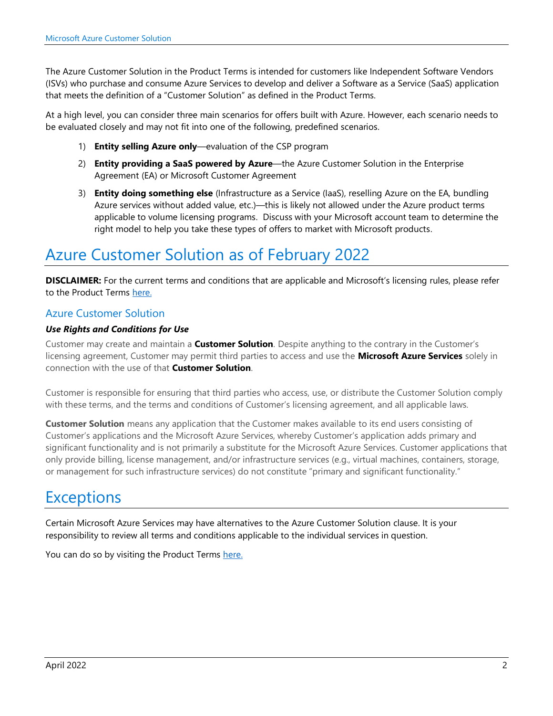The Azure Customer Solution in the Product Terms is intended for customers like Independent Software Vendors (ISVs) who purchase and consume Azure Services to develop and deliver a Software as a Service (SaaS) application that meets the definition of a "Customer Solution" as defined in the Product Terms.

At a high level, you can consider three main scenarios for offers built with Azure. However, each scenario needs to be evaluated closely and may not fit into one of the following, predefined scenarios.

- 1) **Entity selling Azure only**—evaluation of the CSP program
- 2) **Entity providing a SaaS powered by Azure**—the Azure Customer Solution in the Enterprise Agreement (EA) or Microsoft Customer Agreement
- 3) **Entity doing something else** (Infrastructure as a Service (IaaS), reselling Azure on the EA, bundling Azure services without added value, etc.)—this is likely not allowed under the Azure product terms applicable to volume licensing programs. Discuss with your Microsoft account team to determine the right model to help you take these types of offers to market with Microsoft products.

## <span id="page-1-0"></span>Azure Customer Solution as of February 2022

**DISCLAIMER:** For the current terms and conditions that are applicable and Microsoft's licensing rules, please refer to the Product Terms [here.](https://www.microsoft.com/licensing/terms/welcome/welcomepage)

### <span id="page-1-1"></span>Azure Customer Solution

#### *Use Rights and Conditions for Use*

Customer may create and maintain a **Customer Solution**. Despite anything to the contrary in the Customer's licensing agreement, Customer may permit third parties to access and use the **Microsoft Azure Services** solely in connection with the use of that **Customer Solution**.

Customer is responsible for ensuring that third parties who access, use, or distribute the Customer Solution comply with these terms, and the terms and conditions of Customer's licensing agreement, and all applicable laws.

**Customer Solution** means any application that the Customer makes available to its end users consisting of Customer's applications and the Microsoft Azure Services, whereby Customer's application adds primary and significant functionality and is not primarily a substitute for the Microsoft Azure Services. Customer applications that only provide billing, license management, and/or infrastructure services (e.g., virtual machines, containers, storage, or management for such infrastructure services) do not constitute "primary and significant functionality."

### <span id="page-1-2"></span>**Exceptions**

Certain Microsoft Azure Services may have alternatives to the Azure Customer Solution clause. It is your responsibility to review all terms and conditions applicable to the individual services in question.

You can do so by visiting the Product Terms [here.](https://www.microsoft.com/licensing/terms/welcome/welcomepage)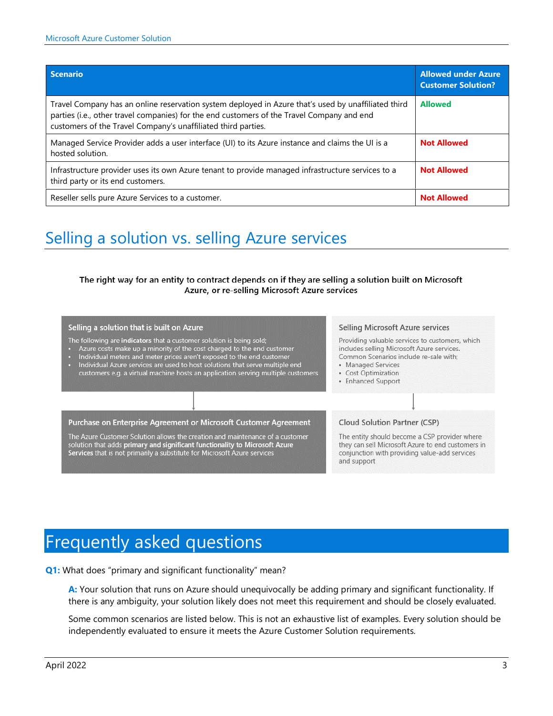| Scenario                                                                                                                                                                                                                                                           | <b>Allowed under Azure</b><br><b>Customer Solution?</b> |
|--------------------------------------------------------------------------------------------------------------------------------------------------------------------------------------------------------------------------------------------------------------------|---------------------------------------------------------|
| Travel Company has an online reservation system deployed in Azure that's used by unaffiliated third<br>parties (i.e., other travel companies) for the end customers of the Travel Company and end<br>customers of the Travel Company's unaffiliated third parties. | <b>Allowed</b>                                          |
| Managed Service Provider adds a user interface (UI) to its Azure instance and claims the UI is a<br>hosted solution.                                                                                                                                               | <b>Not Allowed</b>                                      |
| Infrastructure provider uses its own Azure tenant to provide managed infrastructure services to a<br>third party or its end customers.                                                                                                                             | <b>Not Allowed</b>                                      |
| Reseller sells pure Azure Services to a customer.                                                                                                                                                                                                                  | <b>Not Allowed</b>                                      |

### <span id="page-2-0"></span>Selling a solution vs. selling Azure services

#### The right way for an entity to contract depends on if they are selling a solution built on Microsoft Azure, or re-selling Microsoft Azure services

#### Selling a solution that is built on Azure

The following are indicators that a customer solution is being sold;

- Azure costs make up a minority of the cost charged to the end customer<br>Individual meters and meter prices aren't exposed to the end customer
- 
- Individual Azure services are used to host solutions that serve multiple end customers e.g. a virtual machine hosts an application serving multiple customers

#### Selling Microsoft Azure services

Providing valuable services to customers, which includes selling Microsoft Azure services. Common Scenarios include re-sale with:

**Cloud Solution Partner (CSP)** 

- Managed Services • Cost Optimization
- Enhanced Support

#### Purchase on Enterprise Agreement or Microsoft Customer Agreement

The Azure Customer Solution allows the creation and maintenance of a customer solution that adds primary and significant functionality to Microsoft Azure<br>Services that is not primarily a substitute for Microsoft Azure services

The entity should become a CSP provider where they can sell Microsoft Azure to end customers in conjunction with providing value-add services and support

## <span id="page-2-1"></span>Frequently asked questions

**Q1:** What does "primary and significant functionality" mean?

**A:** Your solution that runs on Azure should unequivocally be adding primary and significant functionality. If there is any ambiguity, your solution likely does not meet this requirement and should be closely evaluated.

Some common scenarios are listed below. This is not an exhaustive list of examples. Every solution should be independently evaluated to ensure it meets the Azure Customer Solution requirements.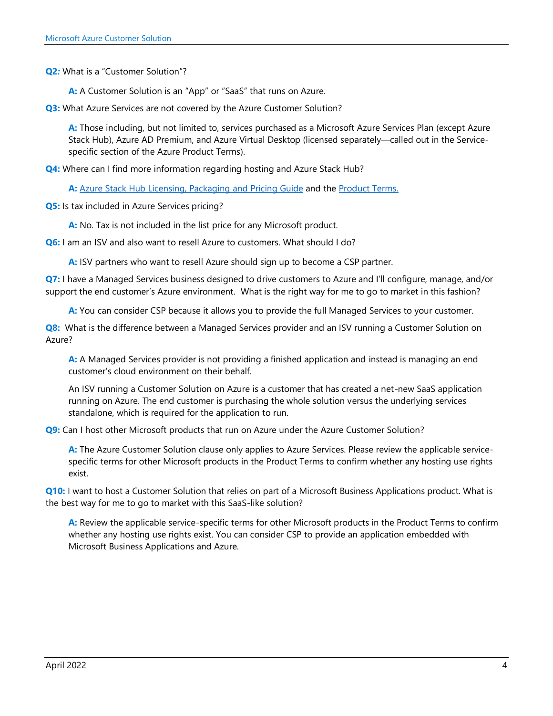**Q2***:* What is a "Customer Solution"?

**A:** A Customer Solution is an "App" or "SaaS" that runs on Azure.

**Q3:** What Azure Services are not covered by the Azure Customer Solution?

**A:** Those including, but not limited to, services purchased as a Microsoft Azure Services Plan (except Azure Stack Hub), Azure AD Premium, and Azure Virtual Desktop (licensed separately—called out in the Servicespecific section of the Azure Product Terms).

**Q4:** Where can I find more information regarding hosting and Azure Stack Hub?

A: [Azure Stack Hub Licensing, Packaging and](https://azure.microsoft.com/en-us/resources/azure-stack-hub-licensing-packaging-pricing-guide/) Pricing Guide and the [Product Terms.](https://www.microsoft.com/licensing/terms/productoffering/MicrosoftAzure/all)

**Q5:** Is tax included in Azure Services pricing?

**A:** No. Tax is not included in the list price for any Microsoft product.

**Q6:** I am an ISV and also want to resell Azure to customers. What should I do?

**A:** ISV partners who want to resell Azure should sign up to become a CSP partner.

**Q7:** I have a Managed Services business designed to drive customers to Azure and I'll configure, manage, and/or support the end customer's Azure environment. What is the right way for me to go to market in this fashion?

**A:** You can consider CSP because it allows you to provide the full Managed Services to your customer.

**Q8:** What is the difference between a Managed Services provider and an ISV running a Customer Solution on Azure?

**A:** A Managed Services provider is not providing a finished application and instead is managing an end customer's cloud environment on their behalf.

An ISV running a Customer Solution on Azure is a customer that has created a net-new SaaS application running on Azure. The end customer is purchasing the whole solution versus the underlying services standalone, which is required for the application to run.

**Q9:** Can I host other Microsoft products that run on Azure under the Azure Customer Solution?

**A:** The Azure Customer Solution clause only applies to Azure Services. Please review the applicable servicespecific terms for other Microsoft products in the Product Terms to confirm whether any hosting use rights exist.

**Q10:** I want to host a Customer Solution that relies on part of a Microsoft Business Applications product. What is the best way for me to go to market with this SaaS-like solution?

**A:** Review the applicable service-specific terms for other Microsoft products in the Product Terms to confirm whether any hosting use rights exist. You can consider CSP to provide an application embedded with Microsoft Business Applications and Azure.